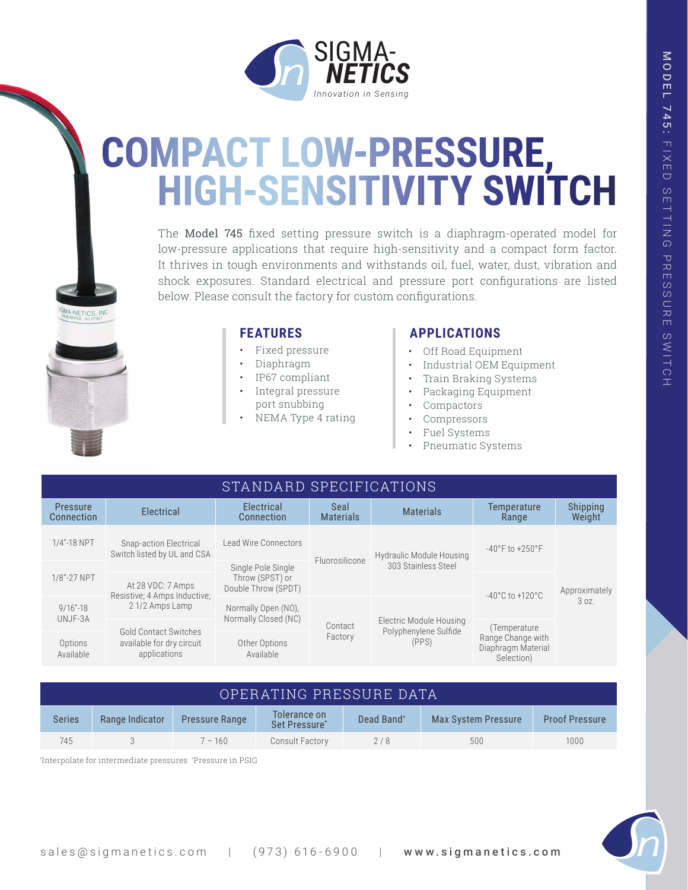

# **COMPACT LOW-PRESSURE, HIGH-SENSITIVITY SWITCH**

The Model 745 fixed setting pressure switch is a diaphragm-operated model for low-pressure applications that require high-sensitivity and a compact form factor. It thrives in tough environments and withstands oil, fuel, water, dust, vibration and shock exposures. Standard electrical and pressure port configurations are listed below. Please consult the factory for custom configurations.

- Fixed pressure
- Diaphragm
- IP67 compliant
- Integral pressure port snubbing
- NEMA Type 4 rating

## **FEATURES APPLICATIONS**

- Off Road Equipment
- Industrial OEM Equipment
- Train Braking Systems
- Packaging Equipment
- Compactors
- **Compressors**
- Fuel Systems
- Pneumatic Systems

| STANDARD SPECIFICATIONS       |                                                                           |                                                              |                          |                                                           |                                                       |                      |  |  |  |  |  |
|-------------------------------|---------------------------------------------------------------------------|--------------------------------------------------------------|--------------------------|-----------------------------------------------------------|-------------------------------------------------------|----------------------|--|--|--|--|--|
| <b>Pressure</b><br>Connection | Electrical                                                                | Electrical<br>Connection                                     | Seal<br><b>Materials</b> | <b>Materials</b>                                          | Temperature<br>Range                                  | Shipping<br>Weight   |  |  |  |  |  |
| 1/4"-18 NPT                   | Snap-action Electrical<br>Switch listed by UL and CSA                     | Lead Wire Connectors                                         | Fluorosilicone           | <b>Hydraulic Module Housing</b><br>303 Stainless Steel    | $-40^{\circ}$ F to $+250^{\circ}$ F                   | Approximately<br>30Z |  |  |  |  |  |
| 1/8"-27 NPT                   |                                                                           | Single Pole Single<br>Throw (SPST) or<br>Double Throw (SPDT) |                          |                                                           |                                                       |                      |  |  |  |  |  |
|                               | At 28 VDC: 7 Amps                                                         |                                                              |                          |                                                           | $-40^{\circ}$ C to $+120^{\circ}$ C                   |                      |  |  |  |  |  |
| $9/16 - 18$<br>UNJF-3A        | Resistive; 4 Amps Inductive;<br>21/2 Amps Lamp                            | Normally Open (NO).<br>Normally Closed (NC)                  | Contact                  | Electric Module Housing<br>Polyphenylene Sulfide<br>(PPS) |                                                       |                      |  |  |  |  |  |
|                               |                                                                           |                                                              |                          |                                                           | (Temperature                                          |                      |  |  |  |  |  |
| Options<br>Available          | <b>Gold Contact Switches</b><br>available for dry circuit<br>applications | Other Options<br>Available                                   | Factory                  |                                                           | Range Change with<br>Diaphragm Material<br>Selection) |                      |  |  |  |  |  |

| OPERATING PRESSURE DATA |                 |                       |                               |            |                     |                       |  |  |  |  |
|-------------------------|-----------------|-----------------------|-------------------------------|------------|---------------------|-----------------------|--|--|--|--|
| <b>Series</b>           | Range Indicator | <b>Pressure Range</b> | Tolerance on<br>Set Pressure* | Dead Band* | Max System Pressure | <b>Proof Pressure</b> |  |  |  |  |
| 745                     |                 | $7 - 160$             | Consult Factory               | 2/8        | 500                 | 1000                  |  |  |  |  |

\* Interpolate for intermediate pressures \* Pressure in PSIG

NETICS, IN